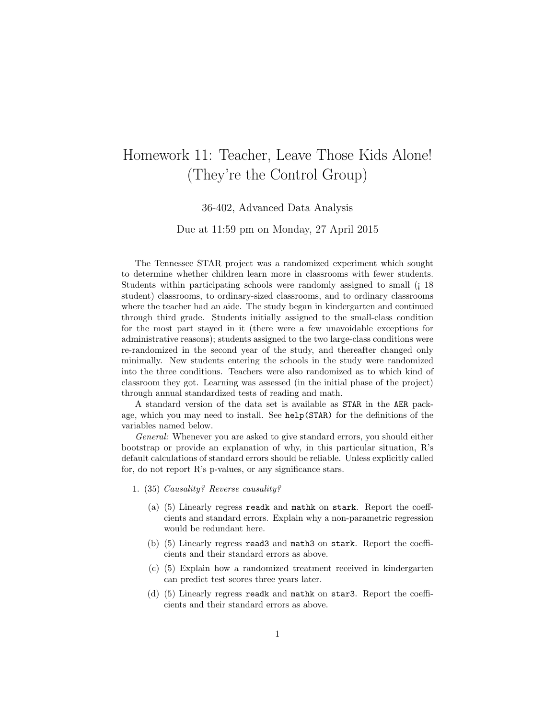## Homework 11: Teacher, Leave Those Kids Alone! (They're the Control Group)

36-402, Advanced Data Analysis

Due at 11:59 pm on Monday, 27 April 2015

The Tennessee STAR project was a randomized experiment which sought to determine whether children learn more in classrooms with fewer students. Students within participating schools were randomly assigned to small (¡ 18 student) classrooms, to ordinary-sized classrooms, and to ordinary classrooms where the teacher had an aide. The study began in kindergarten and continued through third grade. Students initially assigned to the small-class condition for the most part stayed in it (there were a few unavoidable exceptions for administrative reasons); students assigned to the two large-class conditions were re-randomized in the second year of the study, and thereafter changed only minimally. New students entering the schools in the study were randomized into the three conditions. Teachers were also randomized as to which kind of classroom they got. Learning was assessed (in the initial phase of the project) through annual standardized tests of reading and math.

A standard version of the data set is available as STAR in the AER package, which you may need to install. See help(STAR) for the definitions of the variables named below.

General: Whenever you are asked to give standard errors, you should either bootstrap or provide an explanation of why, in this particular situation, R's default calculations of standard errors should be reliable. Unless explicitly called for, do not report R's p-values, or any significance stars.

- 1. (35) Causality? Reverse causality?
	- (a) (5) Linearly regress readk and mathk on stark. Report the coeffcients and standard errors. Explain why a non-parametric regression would be redundant here.
	- (b) (5) Linearly regress read3 and math3 on stark. Report the coefficients and their standard errors as above.
	- (c) (5) Explain how a randomized treatment received in kindergarten can predict test scores three years later.
	- (d) (5) Linearly regress readk and mathk on star3. Report the coefficients and their standard errors as above.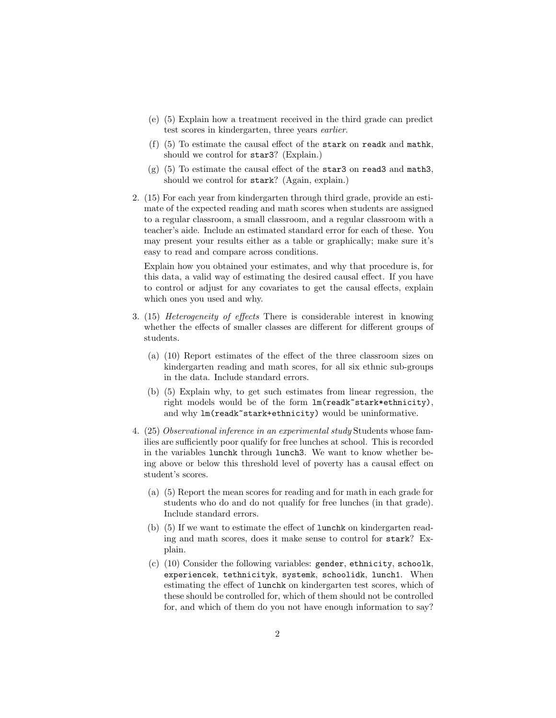- (e) (5) Explain how a treatment received in the third grade can predict test scores in kindergarten, three years earlier.
- (f) (5) To estimate the causal effect of the stark on readk and mathk, should we control for star3? (Explain.)
- $(g)$  (5) To estimate the causal effect of the star3 on read3 and math3, should we control for stark? (Again, explain.)
- 2. (15) For each year from kindergarten through third grade, provide an estimate of the expected reading and math scores when students are assigned to a regular classroom, a small classroom, and a regular classroom with a teacher's aide. Include an estimated standard error for each of these. You may present your results either as a table or graphically; make sure it's easy to read and compare across conditions.

Explain how you obtained your estimates, and why that procedure is, for this data, a valid way of estimating the desired causal effect. If you have to control or adjust for any covariates to get the causal effects, explain which ones you used and why.

- 3. (15) Heterogeneity of effects There is considerable interest in knowing whether the effects of smaller classes are different for different groups of students.
	- (a) (10) Report estimates of the effect of the three classroom sizes on kindergarten reading and math scores, for all six ethnic sub-groups in the data. Include standard errors.
	- (b) (5) Explain why, to get such estimates from linear regression, the right models would be of the form lm(readk~stark\*ethnicity), and why  $lm(readk^*star+ethnicity)$  would be uninformative.
- 4. (25) Observational inference in an experimental study Students whose families are sufficiently poor qualify for free lunches at school. This is recorded in the variables lunchk through lunch3. We want to know whether being above or below this threshold level of poverty has a causal effect on student's scores.
	- (a) (5) Report the mean scores for reading and for math in each grade for students who do and do not qualify for free lunches (in that grade). Include standard errors.
	- (b) (5) If we want to estimate the effect of lunchk on kindergarten reading and math scores, does it make sense to control for stark? Explain.
	- (c) (10) Consider the following variables: gender, ethnicity, schoolk, experiencek, tethnicityk, systemk, schoolidk, lunch1. When estimating the effect of lunchk on kindergarten test scores, which of these should be controlled for, which of them should not be controlled for, and which of them do you not have enough information to say?